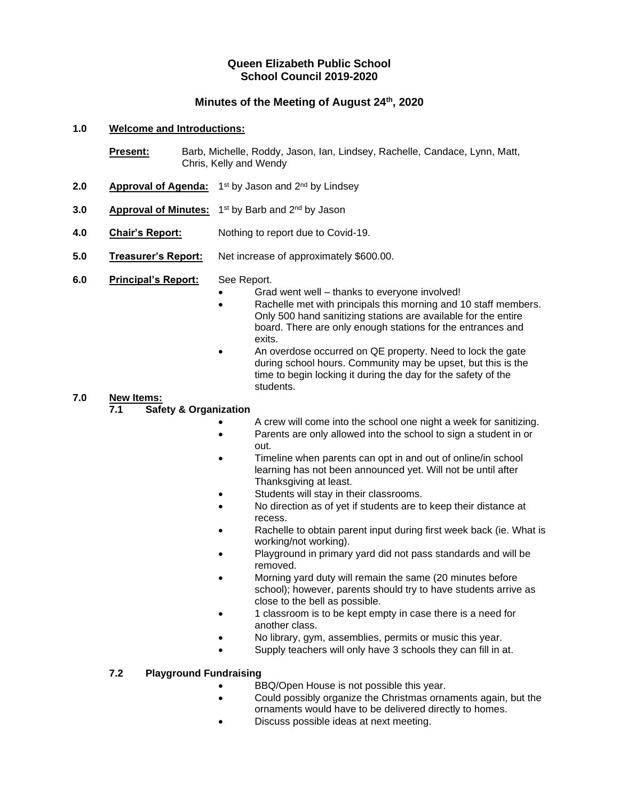# **Queen Elizabeth Public School School Council 2019-2020**

# **Minutes of the Meeting of August 24th, 2020**

#### **1.0 Welcome and Introductions:**

**Present:** Barb, Michelle, Roddy, Jason, Ian, Lindsey, Rachelle, Candace, Lynn, Matt, Chris, Kelly and Wendy

- 2.0 **Approval of Agenda:** 1<sup>st</sup> by Jason and 2<sup>nd</sup> by Lindsey
- **3.0 Approval of Minutes:** 1<sup>st</sup> by Barb and 2<sup>nd</sup> by Jason
- **4.0 Chair's Report:** Nothing to report due to Covid-19.
- **5.0 Treasurer's Report:** Net increase of approximately \$600.00.
- **6.0 Principal's Report:** See Report.
	- Grad went well thanks to everyone involved!
	- Rachelle met with principals this morning and 10 staff members. Only 500 hand sanitizing stations are available for the entire board. There are only enough stations for the entrances and exits.
	- An overdose occurred on QE property. Need to lock the gate during school hours. Community may be upset, but this is the time to begin locking it during the day for the safety of the students.

#### **7.0 New Items:**

#### **7.1 Safety & Organization**

- A crew will come into the school one night a week for sanitizing.
- Parents are only allowed into the school to sign a student in or out.
- Timeline when parents can opt in and out of online/in school learning has not been announced yet. Will not be until after Thanksgiving at least.
- Students will stay in their classrooms.
- No direction as of yet if students are to keep their distance at recess.
- Rachelle to obtain parent input during first week back (ie. What is working/not working).
- Playground in primary yard did not pass standards and will be removed.
- Morning yard duty will remain the same (20 minutes before school); however, parents should try to have students arrive as close to the bell as possible.
- 1 classroom is to be kept empty in case there is a need for another class.
- No library, gym, assemblies, permits or music this year.
- Supply teachers will only have 3 schools they can fill in at.

#### **7.2 Playground Fundraising**

- BBQ/Open House is not possible this year.
- Could possibly organize the Christmas ornaments again, but the ornaments would have to be delivered directly to homes.
- Discuss possible ideas at next meeting.